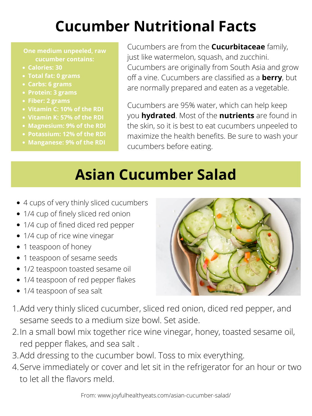- 1/4 cup of fined diced red pepper
- 1/4 cup of rice wine vinegar
- 1 teaspoon of honey
- 1 teaspoon of sesame seeds
- 1/2 teaspoon toasted sesame oil
- 1/4 teaspoon of red pepper flakes
- 1/4 teaspoon of sea salt
- 1. Add very thinly sliced cucumber, sliced red onion, diced red pepper, and sesame seeds to a medium size bowl. Set aside.
- 2. In a small bowl mix together rice wine vinegar, honey, toasted sesame oil, red pepper flakes, and sea salt .
- 3. Add dressing to the cucumber bowl. Toss to mix everything.
- 4. Serve immediately or cover and let sit in the refrigerator for an hour or two to let all the flavors meld.

From: www.joyfulhealthyeats.com/asian-cucumber-salad/

# **Cucumber Nutritional Facts**

- **Calories: 30**
- **Total fat: 0 grams**
- **Carbs: 6 grams**
- **Protein: 3 grams**
- **Fiber: 2 grams**
- **Vitamin C: 10% of the RDI**
- **Vitamin K: 57% of the RDI**
- **Magnesium: 9% of the RDI**
- **Potassium: 12% of the RDI**
- **Manganese: 9% of the RDI**

**One medium unpeeled, raw cucumber contains:**

Cucumbers are from the **Cucurbitaceae** family, just like watermelon, squash, and zucchini. Cucumbers are originally from South Asia and grow off a vine. Cucumbers are classified as a **berry**, but are normally prepared and eaten as a vegetable.

Cucumbers are 95% water, which can help keep you **hydrated**. Most of the **nutrients** are found in the skin, so it is best to eat cucumbers unpeeled to maximize the health benefits. Be sure to wash your cucumbers before eating.

### **Asian Cucumber Salad**

- 4 cups of very thinly sliced cucumbers
- 1/4 cup of finely sliced red onion